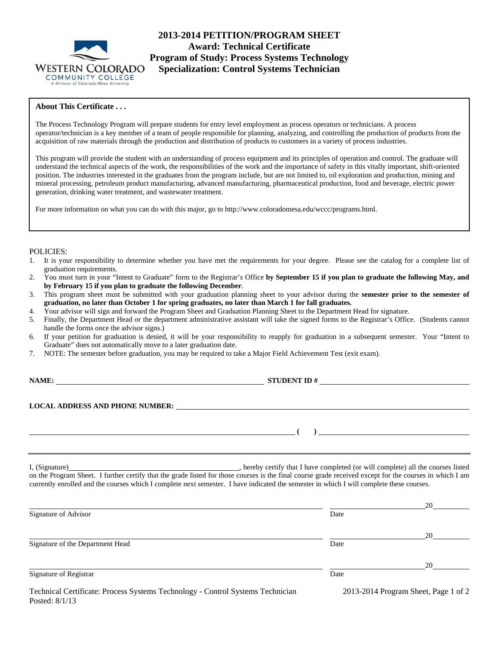

**2013-2014 PETITION/PROGRAM SHEET Award: Technical Certificate Program of Study: Process Systems Technology Specialization: Control Systems Technician** 

# **About This Certificate . . .**

The Process Technology Program will prepare students for entry level employment as process operators or technicians. A process operator/technician is a key member of a team of people responsible for planning, analyzing, and controlling the production of products from the acquisition of raw materials through the production and distribution of products to customers in a variety of process industries.

This program will provide the student with an understanding of process equipment and its principles of operation and control. The graduate will understand the technical aspects of the work, the responsibilities of the work and the importance of safety in this vitally important, shift-oriented position. The industries interested in the graduates from the program include, but are not limited to, oil exploration and production, mining and mineral processing, petroleum product manufacturing, advanced manufacturing, pharmaceutical production, food and beverage, electric power generation, drinking water treatment, and wastewater treatment.

For more information on what you can do with this major, go to http://www.coloradomesa.edu/wccc/programs.html.

# POLICIES:

- 1. It is your responsibility to determine whether you have met the requirements for your degree. Please see the catalog for a complete list of graduation requirements.
- 2. You must turn in your "Intent to Graduate" form to the Registrar's Office **by September 15 if you plan to graduate the following May, and by February 15 if you plan to graduate the following December**.
- 3. This program sheet must be submitted with your graduation planning sheet to your advisor during the **semester prior to the semester of graduation, no later than October 1 for spring graduates, no later than March 1 for fall graduates.**
- 4. Your advisor will sign and forward the Program Sheet and Graduation Planning Sheet to the Department Head for signature.
- 5. Finally, the Department Head or the department administrative assistant will take the signed forms to the Registrar's Office. (Students cannot handle the forms once the advisor signs.)
- 6. If your petition for graduation is denied, it will be your responsibility to reapply for graduation in a subsequent semester. Your "Intent to Graduate" does not automatically move to a later graduation date.
- 7. NOTE: The semester before graduation, you may be required to take a Major Field Achievement Test (exit exam).

**NAME: STUDENT ID #**

 **(** )

**LOCAL ADDRESS AND PHONE NUMBER:**

I, (Signature) **Solution** , hereby certify that I have completed (or will complete) all the courses listed on the Program Sheet. I further certify that the grade listed for those courses is the final course grade received except for the courses in which I am currently enrolled and the courses which I complete next semester. I have indicated the semester in which I will complete these courses.

|                                                                                                  |                                      | 20 |
|--------------------------------------------------------------------------------------------------|--------------------------------------|----|
| Signature of Advisor                                                                             | Date                                 |    |
|                                                                                                  |                                      | 20 |
| Signature of the Department Head                                                                 | Date                                 |    |
|                                                                                                  |                                      | 20 |
| Signature of Registrar                                                                           | Date                                 |    |
| Technical Certificate: Process Systems Technology - Control Systems Technician<br>Posted: 8/1/13 | 2013-2014 Program Sheet, Page 1 of 2 |    |